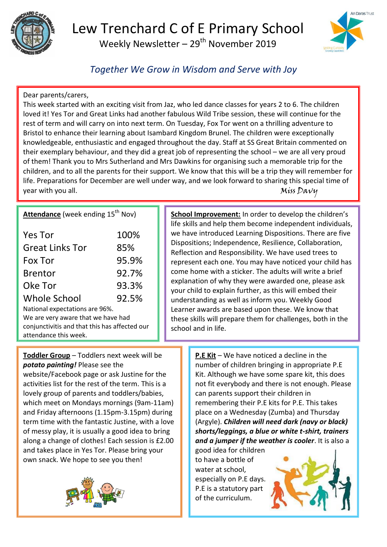

## Lew Trenchard C of E Primary School Weekly Newsletter –  $29<sup>th</sup>$  November 2019



*Together We Grow in Wisdom and Serve with Joy*

## Dear parents/carers,

This week started with an exciting visit from Jaz, who led dance classes for years 2 to 6. The children loved it! Yes Tor and Great Links had another fabulous Wild Tribe session, these will continue for the rest of term and will carry on into next term. On Tuesday, Fox Tor went on a thrilling adventure to Bristol to enhance their learning about Isambard Kingdom Brunel. The children were exceptionally knowledgeable, enthusiastic and engaged throughout the day. Staff at SS Great Britain commented on their exemplary behaviour, and they did a great job of representing the school – we are all very proud of them! Thank you to Mrs Sutherland and Mrs Dawkins for organising such a memorable trip for the children, and to all the parents for their support. We know that this will be a trip they will remember for life. Preparations for December are well under way, and we look forward to sharing this special time of year with you all.  $M$ iss Davy

## **Attendance** (week ending 15<sup>th</sup> Nov)

| <b>Yes Tor</b>         | 100%  |
|------------------------|-------|
| <b>Great Links Tor</b> | 85%   |
| Fox Tor                | 95.9% |
| <b>Brentor</b>         | 92.7% |
| Oke Tor                | 93.3% |
| <b>Whole School</b>    | 92.5% |

National expectations are 96%. We are very aware that we have had conjunctivitis and that this has affected our attendance this week.

**School Improvement:** In order to develop the children's life skills and help them become independent individuals, we have introduced Learning Dispositions. There are five Dispositions; Independence, Resilience, Collaboration, Reflection and Responsibility. We have used trees to represent each one. You may have noticed your child has come home with a sticker. The adults will write a brief explanation of why they were awarded one, please ask your child to explain further, as this will embed their understanding as well as inform you. Weekly Good Learner awards are based upon these. We know that these skills will prepare them for challenges, both in the school and in life.

**Toddler Group** – Toddlers next week will be *potato painting!* Please see the

website/Facebook page or ask Justine for the activities list for the rest of the term. This is a lovely group of parents and toddlers/babies, which meet on Mondays mornings (9am-11am) and Friday afternoons (1.15pm-3.15pm) during term time with the fantastic Justine, with a love of messy play, it is usually a good idea to bring along a change of clothes! Each session is £2.00 and takes place in Yes Tor. Please bring your own snack. We hope to see you then!



**P.E Kit** – We have noticed a decline in the number of children bringing in appropriate P.E Kit. Although we have some spare kit, this does not fit everybody and there is not enough. Please can parents support their children in remembering their P.E kits for P.E. This takes place on a Wednesday (Zumba) and Thursday (Argyle). *Children will need dark (navy or black) shorts/leggings, a blue or white t-shirt, trainers and a jumper if the weather is cooler*. It is also a

good idea for children to have a bottle of water at school, especially on P.E days. P.E is a statutory part of the curriculum.

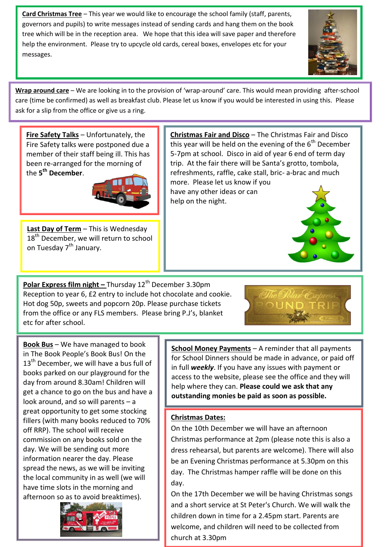**Card Christmas Tree** – This year we would like to encourage the school family (staff, parents, governors and pupils) to write messages instead of sending cards and hang them on the book tree which will be in the reception area. We hope that this idea will save paper and therefore help the environment. Please try to upcycle old cards, cereal boxes, envelopes etc for your messages.



**Wrap around care** – We are looking in to the provision of 'wrap-around' care. This would mean providing after-school care (time be confirmed) as well as breakfast club. Please let us know if you would be interested in using this. Please ask for a slip from the office or give us a ring.

**Fire Safety Talks** – Unfortunately, the Fire Safety talks were postponed due a member of their staff being ill. This has been re-arranged for the morning of the **5 th December**.



**Last Day of Term** – This is Wednesday 18<sup>th</sup> December, we will return to school on Tuesday 7<sup>th</sup> January.

**Polar Express film night -** Thursday 12<sup>th</sup> December 3.30pm Reception to year 6, £2 entry to include hot chocolate and cookie. Hot dog 50p, sweets and popcorn 20p. Please purchase tickets from the office or any FLS members. Please bring P.J's, blanket etc for after school.





**Book Bus** – We have managed to book in The Book People's Book Bus! On the  $13<sup>th</sup>$  December, we will have a bus full of books parked on our playground for the day from around 8.30am! Children will get a chance to go on the bus and have a look around, and so will parents – a great opportunity to get some stocking fillers (with many books reduced to 70% off RRP). The school will receive commission on any books sold on the day. We will be sending out more information nearer the day. Please spread the news, as we will be inviting the local community in as well (we will have time slots in the morning and afternoon so as to avoid breaktimes).



**School Money Payments** – A reminder that all payments for School Dinners should be made in advance, or paid off in full *weekly*. If you have any issues with payment or access to the website, please see the office and they will help where they can. **Please could we ask that any outstanding monies be paid as soon as possible.** 

**Christmas Fair and Disco** – The Christmas Fair and Disco this year will be held on the evening of the  $6<sup>th</sup>$  December 5-7pm at school. Disco in aid of year 6 end of term day trip. At the fair there will be Santa's grotto, tombola,

more. Please let us know if you have any other ideas or can

help on the night.

## **Christmas Dates:**

On the 10th December we will have an afternoon Christmas performance at 2pm (please note this is also a dress rehearsal, but parents are welcome). There will also be an Evening Christmas performance at 5.30pm on this day. The Christmas hamper raffle will be done on this day.

On the 17th December we will be having Christmas songs and a short service at St Peter's Church. We will walk the children down in time for a 2.45pm start. Parents are welcome, and children will need to be collected from church at 3.30pm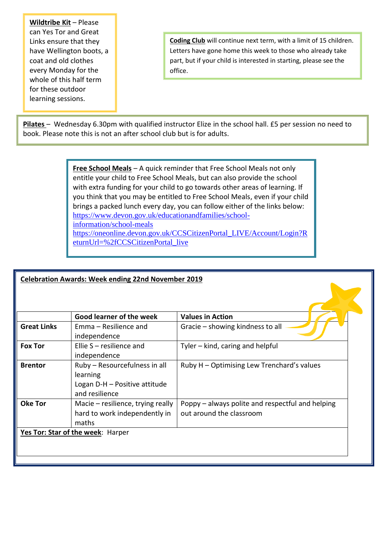**Wildtribe Kit** – Please can Yes Tor and Great Links ensure that they have Wellington boots, a coat and old clothes every Monday for the whole of this half term for these outdoor learning sessions.

**Coding Club** will continue next term, with a limit of 15 children. Letters have gone home this week to those who already take part, but if your child is interested in starting, please see the office.

**Pilates** – Wednesday 6.30pm with qualified instructor Elize in the school hall. £5 per session no need to book. Please note this is not an after school club but is for adults.

> **Free School Meals** – A quick reminder that Free School Meals not only entitle your child to Free School Meals, but can also provide the school with extra funding for your child to go towards other areas of learning. If you think that you may be entitled to Free School Meals, even if your child brings a packed lunch every day, you can follow either of the links below: [https://www.devon.gov.uk/educationandfamilies/school](https://www.devon.gov.uk/educationandfamilies/school-information/school-meals)[information/school-meals](https://www.devon.gov.uk/educationandfamilies/school-information/school-meals) [https://oneonline.devon.gov.uk/CCSCitizenPortal\\_LIVE/Account/Login?R](https://oneonline.devon.gov.uk/CCSCitizenPortal_LIVE/Account/Login?ReturnUrl=%2fCCSCitizenPortal_live) [eturnUrl=%2fCCSCitizenPortal\\_live](https://oneonline.devon.gov.uk/CCSCitizenPortal_LIVE/Account/Login?ReturnUrl=%2fCCSCitizenPortal_live)

| <b>Celebration Awards: Week ending 22nd November 2019</b> |                                                                                              |                                                                              |  |
|-----------------------------------------------------------|----------------------------------------------------------------------------------------------|------------------------------------------------------------------------------|--|
|                                                           |                                                                                              |                                                                              |  |
|                                                           | Good learner of the week                                                                     | <b>Values in Action</b>                                                      |  |
| <b>Great Links</b>                                        | Emma – Resilience and<br>independence                                                        | Gracie – showing kindness to all                                             |  |
| <b>Fox Tor</b>                                            | Ellie S - resilience and<br>independence                                                     | Tyler - kind, caring and helpful                                             |  |
| <b>Brentor</b>                                            | Ruby - Resourcefulness in all<br>learning<br>Logan D-H - Positive attitude<br>and resilience | Ruby H – Optimising Lew Trenchard's values                                   |  |
| <b>Oke Tor</b>                                            | Macie – resilience, trying really<br>hard to work independently in<br>maths                  | Poppy - always polite and respectful and helping<br>out around the classroom |  |
|                                                           | Yes Tor: Star of the week: Harper                                                            |                                                                              |  |